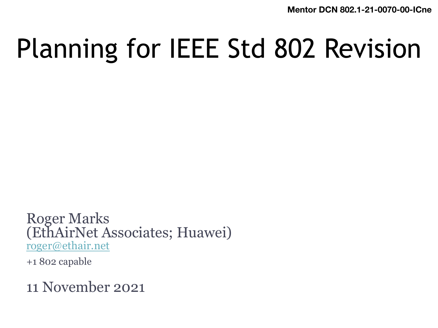**Mentor DCN 802.1-21** 

# Planning for IEEE Std 802 Revi

Roger Marks (EthAirNet Associates; Huawei) roger@ethair.net

+1 802 capable

11 November 2021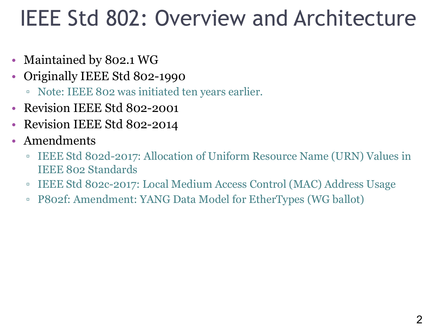#### IEEE Std 802: Overview and Architecture

- Maintained by 802.1 WG
- Originally IEEE Std 802-1990
	- Note: IEEE 802 was initiated ten years earlier.
- Revision IEEE Std 802-2001
- Revision IEEE Std 802-2014
- Amendments
	- IEEE Std 802d-2017: Allocation of Uniform Resource Name (URN) Values in IEEE 802 Standards
	- IEEE Std 802c-2017: Local Medium Access Control (MAC) Address Usage
	- P802f: Amendment: YANG Data Model for EtherTypes (WG ballot)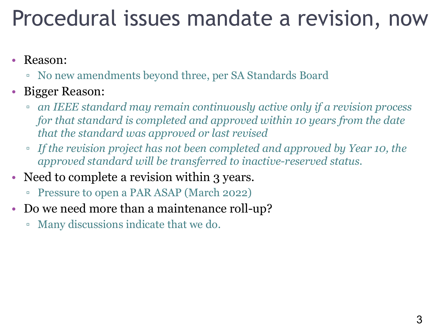#### Procedural issues mandate a revision, now 3

- Reason:
	- No new amendments beyond three, per SA Standards Board
- Bigger Reason:
	- *an IEEE standard may remain continuously active only if a revision process for that standard is completed and approved within 10 years from the date that the standard was approved or last revised*
	- *If the revision project has not been completed and approved by Year 10, the approved standard will be transferred to inactive-reserved status.*
- Need to complete a revision within 3 years.
	- Pressure to open a PAR ASAP (March 2022)
- Do we need more than a maintenance roll-up?
	- Many discussions indicate that we do.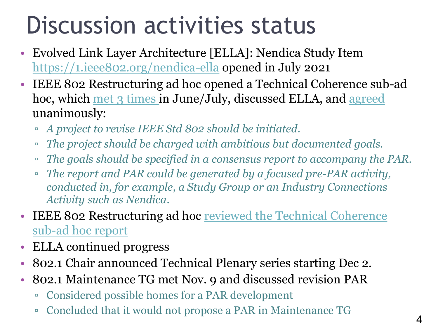# Discussion activities status

- Evolved Link Layer Architecture [ELLA]: Nendica Study Item [https://1.ieee802.org/nendica-ella](https://mentor.ieee.org/802-ec/dcn/21/ec-21-0163-00-00EC-technical-coherence-sub-ad-hoc-meeting-notes-of-2021-07-09.docx) opened in July 2021
- IEEE 802 Restructuring ad hoc opened a Technical Coherence s hoc, which met 3 times in June/July, discussed ELLA, and agree unanimously:
	- *A project to revise IEEE Std 802 should be initiated.*
	- *The project should be charged with ambitious but documented goals.*
	- The goals should be specified in a consensus report to accompany the PAR.
	- □ *The report and PAR could be generated by a focused pre-PAR activity, a formal pre-PAR activity, and PAR conducted in, for example, a Study Group or an Industry Connections Activity such as Nendica.*
- IEEE 802 Restructuring ad hoc reviewed the Technical Coheren sub-ad hoc report
- ELLA continued progress
- 802.1 Chair announced Technical Plenary series starting Dec 2.
- 802.1 Maintenance TG met Nov. 9 and discussed revision PAR
	- Considered possible homes for a PAR development
	- Concluded that it would not propose a PAR in Maintenance TG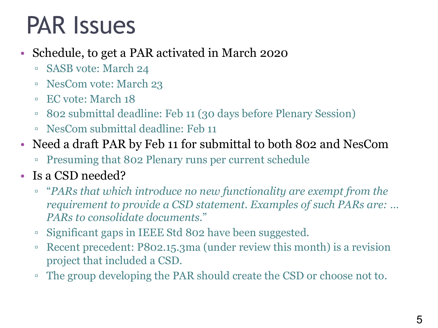### PAR Issues

- Schedule, to get a PAR activated in March 2020
	- SASB vote: March 24
	- NesCom vote: March 23
	- EC vote: March 18
	- 802 submittal deadline: Feb 11 (30 days before Plenary Session)
	- NesCom submittal deadline: Feb 11
- Need a draft PAR by Feb 11 for submittal to both 802 and NesCom
	- Presuming that 802 Plenary runs per current schedule
- Is a CSD needed?
	- "*PARs that which introduce no new functionality are exempt from the requirement to provide a CSD statement. Examples of such PARs are: … PARs to consolidate documents*."
	- Significant gaps in IEEE Std 802 have been suggested.
	- Recent precedent: P802.15.3ma (under review this month) is a revision project that included a CSD.
	- The group developing the PAR should create the CSD or choose not to.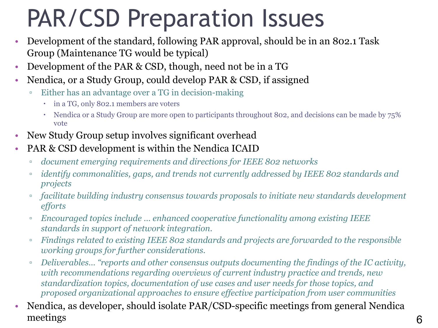### PAR/CSD Preparation Issues

- Development of the standard, following PAR approval, should be in an 802.1 Task Group (Maintenance TG would be typical)
- Development of the PAR & CSD, though, need not be in a TG
- Nendica, or a Study Group, could develop PAR & CSD, if assigned
	- Either has an advantage over a TG in decision-making
		- in a TG, only 802.1 members are voters
		- Nendica or a Study Group are more open to participants throughout 802, and decisions can be made by  $75\%$ vote
- New Study Group setup involves significant overhead
- PAR & CSD development is within the Nendica ICAID
	- *document emerging requirements and directions for IEEE 802 networks*
	- *identify commonalities, gaps, and trends not currently addressed by IEEE 802 standards and projects*
	- *facilitate building industry consensus towards proposals to initiate new standards development efforts*
	- *Encouraged topics include … enhanced cooperative functionality among existing IEEE standards in support of network integration.*
	- *Findings related to existing IEEE 802 standards and projects are forwarded to the responsible working groups for further considerations.*
	- *Deliverables… "reports and other consensus outputs documenting the findings of the IC activity, with recommendations regarding overviews of current industry practice and trends, new standardization topics, documentation of use cases and user needs for those topics, and proposed organizational approaches to ensure effective participation from user communities*
- Nendica, as developer, should isolate PAR/CSD-specific meetings from general Nendica meetings